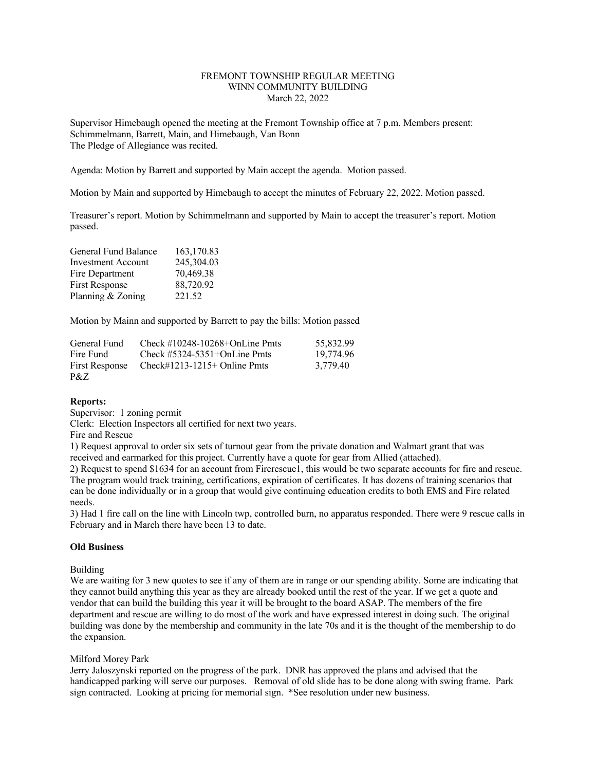# FREMONT TOWNSHIP REGULAR MEETING WINN COMMUNITY BUILDING March 22, 2022

Supervisor Himebaugh opened the meeting at the Fremont Township office at 7 p.m. Members present: Schimmelmann, Barrett, Main, and Himebaugh, Van Bonn The Pledge of Allegiance was recited.

Agenda: Motion by Barrett and supported by Main accept the agenda. Motion passed.

Motion by Main and supported by Himebaugh to accept the minutes of February 22, 2022. Motion passed.

Treasurer's report. Motion by Schimmelmann and supported by Main to accept the treasurer's report. Motion passed.

| General Fund Balance      | 163,170.83 |
|---------------------------|------------|
| <b>Investment Account</b> | 245,304.03 |
| Fire Department           | 70,469.38  |
| <b>First Response</b>     | 88,720.92  |
| Planning & Zoning         | 221.52     |

Motion by Mainn and supported by Barrett to pay the bills: Motion passed

| General Fund   | Check $\#10248-10268+OnLine Pmts$ | 55.832.99 |
|----------------|-----------------------------------|-----------|
| Fire Fund      | Check $\#5324-5351+OnLine Pmts$   | 19.774.96 |
| First Response | Check#1213-1215+ Online Pmts      | 3.779.40  |
| P&Z            |                                   |           |

# **Reports:**

Supervisor: 1 zoning permit

Clerk: Election Inspectors all certified for next two years.

Fire and Rescue

1) Request approval to order six sets of turnout gear from the private donation and Walmart grant that was received and earmarked for this project. Currently have a quote for gear from Allied (attached).

2) Request to spend \$1634 for an account from Firerescue1, this would be two separate accounts for fire and rescue. The program would track training, certifications, expiration of certificates. It has dozens of training scenarios that can be done individually or in a group that would give continuing education credits to both EMS and Fire related needs.

3) Had 1 fire call on the line with Lincoln twp, controlled burn, no apparatus responded. There were 9 rescue calls in February and in March there have been 13 to date.

#### **Old Business**

Building

We are waiting for 3 new quotes to see if any of them are in range or our spending ability. Some are indicating that they cannot build anything this year as they are already booked until the rest of the year. If we get a quote and vendor that can build the building this year it will be brought to the board ASAP. The members of the fire department and rescue are willing to do most of the work and have expressed interest in doing such. The original building was done by the membership and community in the late 70s and it is the thought of the membership to do the expansion.

## Milford Morey Park

Jerry Jaloszynski reported on the progress of the park. DNR has approved the plans and advised that the handicapped parking will serve our purposes. Removal of old slide has to be done along with swing frame. Park sign contracted. Looking at pricing for memorial sign. \*See resolution under new business.